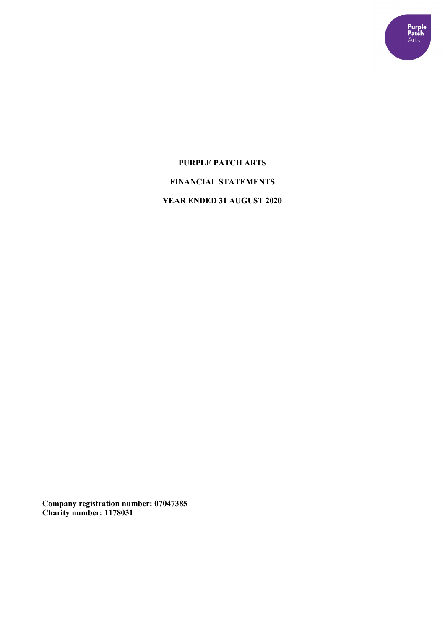

# **PURPLE PATCH ARTS FINANCIAL STATEMENTS YEAR ENDED 31 AUGUST 2020**

**Company registration number: 07047385 Charity number: 1178031**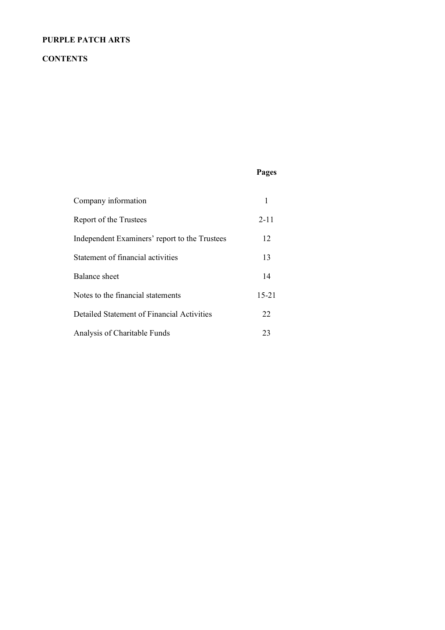## **CONTENTS**

## **Pages**

| Company information                           |           |
|-----------------------------------------------|-----------|
| Report of the Trustees                        | $2 - 11$  |
| Independent Examiners' report to the Trustees | 12        |
| Statement of financial activities             | 13        |
| Balance sheet                                 | 14        |
| Notes to the financial statements             | $15 - 21$ |
| Detailed Statement of Financial Activities    | 22        |
| Analysis of Charitable Funds                  | 23        |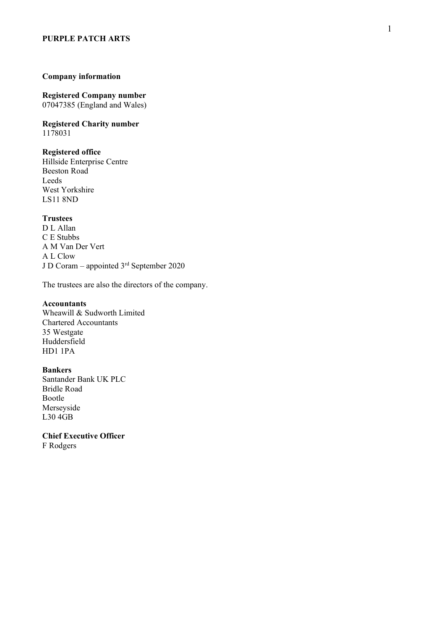#### **Company information**

**Registered Company number** 07047385 (England and Wales)

**Registered Charity number** 1178031

## **Registered office**

Hillside Enterprise Centre Beeston Road Leeds West Yorkshire LS11 8ND

#### **Trustees**

D L Allan C E Stubbs A M Van Der Vert A L Clow J D Coram – appointed 3rd September 2020

The trustees are also the directors of the company.

#### **Accountants**

Wheawill & Sudworth Limited Chartered Accountants 35 Westgate Huddersfield HD1 1PA

#### **Bankers**

Santander Ban k UK PLC Bridle Road Bootle Merseyside L30 4GB

**Chief Executive Officer** F Rodgers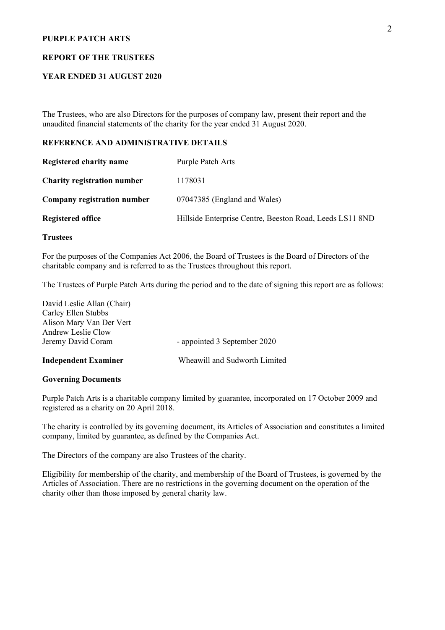#### **REPORT OF THE TRUSTEES**

### **YEAR ENDED 31 AUGUST 2020**

The Trustees, who are also Directors for the purposes of company law, present their report and the unaudited financial statements of the charity for the year ended 31 August 2020.

#### **REFERENCE AND ADMINISTRATIVE DETAILS**

| Registered charity name            | Purple Patch Arts                                        |
|------------------------------------|----------------------------------------------------------|
| <b>Charity registration number</b> | 1178031                                                  |
| Company registration number        | 07047385 (England and Wales)                             |
| <b>Registered office</b>           | Hillside Enterprise Centre, Beeston Road, Leeds LS11 8ND |

#### **Trustees**

For the purposes of the Companies Act 2006, the Board of Trustees is the Board of Directors of the charitable company and is referred to as the Trustees throughout this report.

The Trustees of Purple Patch Arts during the period and to the date of signing this report are as follows:

| <b>Independent Examiner</b> | Wheawill and Sudworth Limited |
|-----------------------------|-------------------------------|
| Jeremy David Coram          | - appointed 3 September 2020  |
| Andrew Leslie Clow          |                               |
| Alison Mary Van Der Vert    |                               |
| Carley Ellen Stubbs         |                               |
| David Leslie Allan (Chair)  |                               |

#### **Governing Documents**

Purple Patch Arts is a charitable company limited by guarantee, incorporated on 17 October 2009 and registered as a charity on 20 April 2018.

The charity is controlled by its governing document, its Articles of Association and constitutes a limited company, limited by guarantee, as defined by the Companies Act.

The Directors of the company are also Trustees of the charity.

Eligibility for membership of the charity, and membership of the Board of Trustees, is governed by the Articles of Association. There are no restrictions in the governing document on the operation of the charity other than those imposed by general charity law.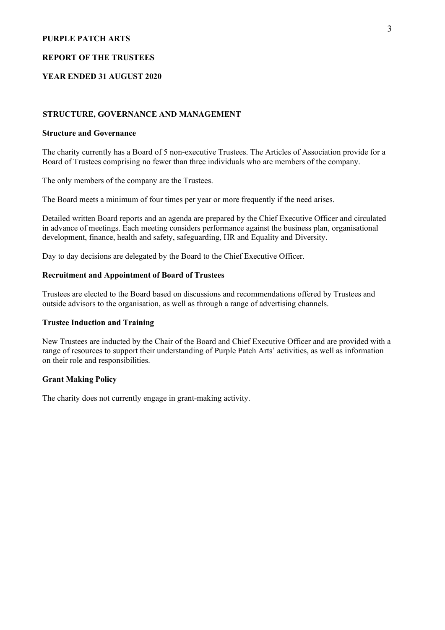#### **REPORT OF THE TRUSTEES**

### **YEAR ENDED 31 AUGUST 2020**

#### **STRUCTURE, GOVERNANCE AND MANAGEMENT**

#### **Structure and Governance**

The charity currently has a Board of 5 non-executive Trustees. The Articles of Association provide for a Board of Trustees comprising no fewer than three individuals who are members of the company.

The only members of the company are the Trustees.

The Board meets a minimum of four times per year or more frequently if the need arises.

Detailed written Board reports and an agenda are prepared by the Chief Executive Officer and circulated in advance of meetings. Each meeting considers performance against the business plan, organisational development, finance, health and safety, safeguarding, HR and Equality and Diversity.

Day to day decisions are delegated by the Board to the Chief Executive Officer.

#### **Recruitment and Appointment of Board of Trustees**

Trustees are elected to the Board based on discussions and recommendations offered by Trustees and outside advisors to the organisation, as well as through a range of advertising channels.

#### **Trustee Induction and Training**

New Trustees are inducted by the Chair of the Board and Chief Executive Officer and are provided with a range of resources to support their understanding of Purple Patch Arts' activities, as well as information on their role and responsibilities.

#### **Grant Making Policy**

The charity does not currently engage in grant-making activity.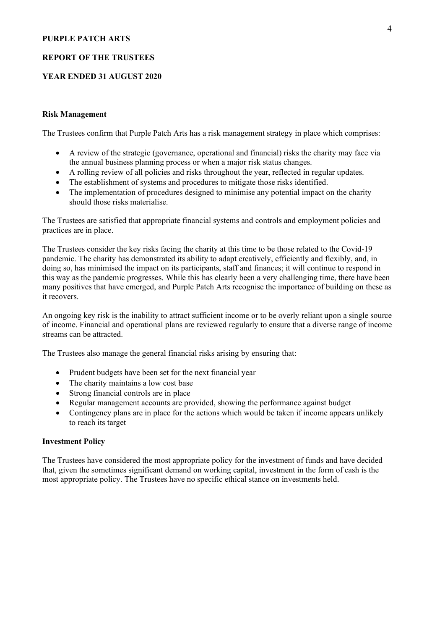#### **REPORT OF THE TRUSTEES**

#### **YEAR ENDED 31 AUGUST 2020**

#### **Risk Management**

The Trustees confirm that Purple Patch Arts has a risk management strategy in place which comprises:

- A review of the strategic (governance, operational and financial) risks the charity may face via the annual business planning process or when a major risk status changes.
- A rolling review of all policies and risks throughout the year, reflected in regular updates.
- The establishment of systems and procedures to mitigate those risks identified.
- The implementation of procedures designed to minimise any potential impact on the charity should those risks materialise.

The Trustees are satisfied that appropriate financial systems and controls and employment policies and practices are in place.

The Trustees consider the key risks facing the charity at this time to be those related to the Covid-19 pandemic. The charity has demonstrated its ability to adapt creatively, efficiently and flexibly, and, in doing so, has minimised the impact on its participants, staff and finances; it will continue to respond in this way as the pandemic progresses. While this has clearly been a very challenging time, there have been many positives that have emerged, and Purple Patch Arts recognise the importance of building on these as it recovers.

An ongoing key risk is the inability to attract sufficient income or to be overly reliant upon a single source of income. Financial and operational plans are reviewed regularly to ensure that a diverse range of income streams can be attracted.

The Trustees also manage the general financial risks arising by ensuring that:

- Prudent budgets have been set for the next financial year
- The charity maintains a low cost base
- Strong financial controls are in place
- Regular management accounts are provided, showing the performance against budget
- Contingency plans are in place for the actions which would be taken if income appears unlikely to reach its target

#### **Investment Policy**

The Trustees have considered the most appropriate policy for the investment of funds and have decided that, given the sometimes significant demand on working capital, investment in the form of cash is the most appropriate policy. The Trustees have no specific ethical stance on investments held.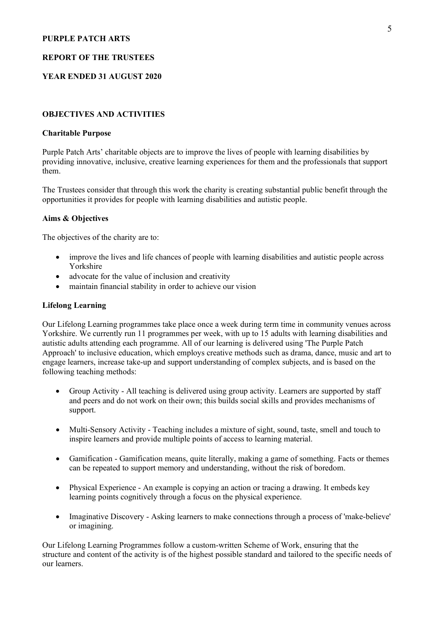#### **REPORT OF THE TRUSTEES**

#### **YEAR ENDED 31 AUGUST 2020**

#### **OBJECTIVES AND ACTIVITIES**

#### **Charitable Purpose**

Purple Patch Arts' charitable objects are to improve the lives of people with learning disabilities by providing innovative, inclusive, creative learning experiences for them and the professionals that support them.

The Trustees consider that through this work the charity is creating substantial public benefit through the opportunities it provides for people with learning disabilities and autistic people.

#### **Aims & Objectives**

The objectives of the charity are to:

- improve the lives and life chances of people with learning disabilities and autistic people across Yorkshire
- advocate for the value of inclusion and creativity
- maintain financial stability in order to achieve our vision

#### **Lifelong Learning**

Our Lifelong Learning programmes take place once a week during term time in community venues across Yorkshire. We currently run 11 programmes per week, with up to 15 adults with learning disabilities and autistic adults attending each programme. All of our learning is delivered using 'The Purple Patch Approach' to inclusive education, which employs creative methods such as drama, dance, music and art to engage learners, increase take-up and support understanding of complex subjects, and is based on the following teaching methods:

- Group Activity All teaching is delivered using group activity. Learners are supported by staff and peers and do not work on their own; this builds social skills and provides mechanisms of support.
- Multi-Sensory Activity Teaching includes a mixture of sight, sound, taste, smell and touch to inspire learners and provide multiple points of access to learning material.
- Gamification Gamification means, quite literally, making a game of something. Facts or themes can be repeated to support memory and understanding, without the risk of boredom.
- Physical Experience An example is copying an action or tracing a drawing. It embeds key learning points cognitively through a focus on the physical experience.
- Imaginative Discovery Asking learners to make connections through a process of 'make-believe' or imagining.

Our Lifelong Learning Programmes follow a custom-written Scheme of Work, ensuring that the structure and content of the activity is of the highest possible standard and tailored to the specific needs of our learners.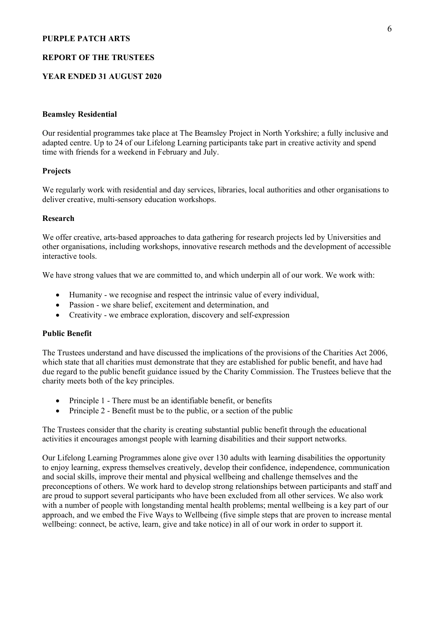#### **REPORT OF THE TRUSTEES**

#### **YEAR ENDED 31 AUGUST 2020**

#### **Beamsley Residential**

Our residential programmes take place at The Beamsley Project in North Yorkshire; a fully inclusive and adapted centre. Up to 24 of our Lifelong Learning participants take part in creative activity and spend time with friends for a weekend in February and July.

#### **Projects**

We regularly work with residential and day services, libraries, local authorities and other organisations to deliver creative, multi-sensory education workshops.

#### **Research**

We offer creative, arts-based approaches to data gathering for research projects led by Universities and other organisations, including workshops, innovative research methods and the development of accessible interactive tools.

We have strong values that we are committed to, and which underpin all of our work. We work with:

- Humanity we recognise and respect the intrinsic value of every individual,
- Passion we share belief, excitement and determination, and
- Creativity we embrace exploration, discovery and self-expression

#### **Public Benefit**

The Trustees understand and have discussed the implications of the provisions of the Charities Act 2006, which state that all charities must demonstrate that they are established for public benefit, and have had due regard to the public benefit guidance issued by the Charity Commission. The Trustees believe that the charity meets both of the key principles.

- Principle 1 There must be an identifiable benefit, or benefits
- Principle 2 Benefit must be to the public, or a section of the public

The Trustees consider that the charity is creating substantial public benefit through the educational activities it encourages amongst people with learning disabilities and their support networks.

Our Lifelong Learning Programmes alone give over 130 adults with learning disabilities the opportunity to enjoy learning, express themselves creatively, develop their confidence, independence, communication and social skills, improve their mental and physical wellbeing and challenge themselves and the preconceptions of others. We work hard to develop strong relationships between participants and staff and are proud to support several participants who have been excluded from all other services. We also work with a number of people with longstanding mental health problems; mental wellbeing is a key part of our approach, and we embed the Five Ways to Wellbeing (five simple steps that are proven to increase mental wellbeing: connect, be active, learn, give and take notice) in all of our work in order to support it.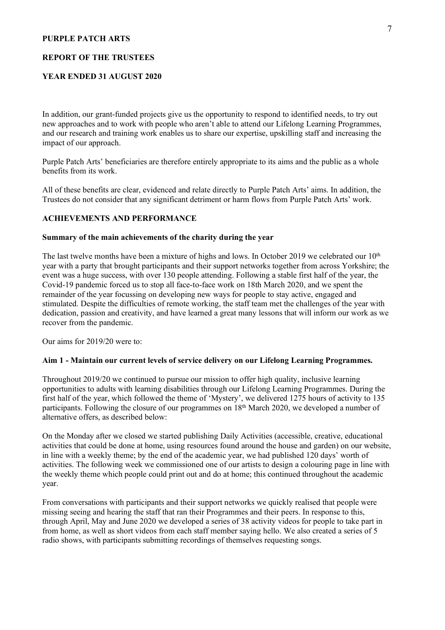#### **REPORT OF THE TRUSTEES**

## **YEAR ENDED 31 AUGUST 2020**

In addition, our grant-funded projects give us the opportunity to respond to identified needs, to try out new approaches and to work with people who aren't able to attend our Lifelong Learning Programmes, and our research and training work enables us to share our expertise, upskilling staff and increasing the impact of our approach.

Purple Patch Arts' beneficiaries are therefore entirely appropriate to its aims and the public as a whole benefits from its work.

All of these benefits are clear, evidenced and relate directly to Purple Patch Arts' aims. In addition, the Trustees do not consider that any significant detriment or harm flows from Purple Patch Arts' work.

#### **ACHIEVEMENTS AND PERFORMANCE**

#### **Summary of the main achievements of the charity during the year**

The last twelve months have been a mixture of highs and lows. In October 2019 we celebrated our  $10<sup>th</sup>$ year with a party that brought participants and their support networks together from across Yorkshire; the event was a huge success, with over 130 people attending. Following a stable first half of the year, the Covid-19 pandemic forced us to stop all face-to-face work on 18th March 2020, and we spent the remainder of the year focussing on developing new ways for people to stay active, engaged and stimulated. Despite the difficulties of remote working, the staff team met the challenges of the year with dedication, passion and creativity, and have learned a great many lessons that will inform our work as we recover from the pandemic.

Our aims for 2019/20 were to:

#### **Aim 1 - Maintain our current levels of service delivery on our Lifelong Learning Programmes.**

Throughout 2019/20 we continued to pursue our mission to offer high quality, inclusive learning opportunities to adults with learning disabilities through our Lifelong Learning Programmes. During the first half of the year, which followed the theme of 'Mystery', we delivered 1275 hours of activity to 135 participants. Following the closure of our programmes on 18<sup>th</sup> March 2020, we developed a number of alternative offers, as described below:

On the Monday after we closed we started publishing Daily Activities (accessible, creative, educational activities that could be done at home, using resources found around the house and garden) on our website, in line with a weekly theme; by the end of the academic year, we had published 120 days' worth of activities. The following week we commissioned one of our artists to design a colouring page in line with the weekly theme which people could print out and do at home; this continued throughout the academic year.

From conversations with participants and their support networks we quickly realised that people were missing seeing and hearing the staff that ran their Programmes and their peers. In response to this, through April, May and June 2020 we developed a series of 38 activity videos for people to take part in from home, as well as short videos from each staff member saying hello. We also created a series of 5 radio shows, with participants submitting recordings of themselves requesting songs.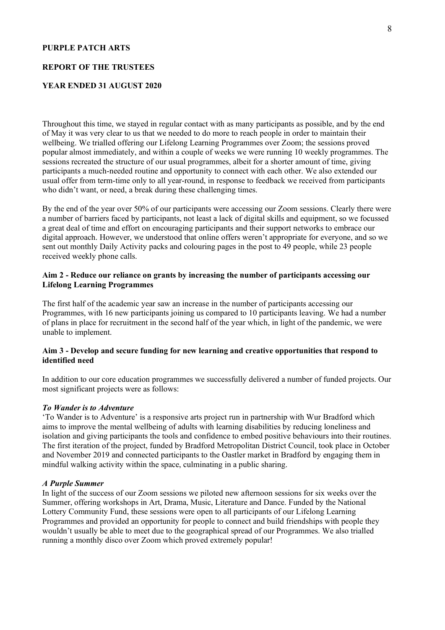#### **REPORT OF THE TRUSTEES**

#### **YEAR ENDED 31 AUGUST 2020**

Throughout this time, we stayed in regular contact with as many participants as possible, and by the end of May it was very clear to us that we needed to do more to reach people in order to maintain their wellbeing. We trialled offering our Lifelong Learning Programmes over Zoom; the sessions proved popular almost immediately, and within a couple of weeks we were running 10 weekly programmes. The sessions recreated the structure of our usual programmes, albeit for a shorter amount of time, giving participants a much-needed routine and opportunity to connect with each other. We also extended our usual offer from term-time only to all year-round, in response to feedback we received from participants who didn't want, or need, a break during these challenging times.

By the end of the year over 50% of our participants were accessing our Zoom sessions. Clearly there were a number of barriers faced by participants, not least a lack of digital skills and equipment, so we focussed a great deal of time and effort on encouraging participants and their support networks to embrace our digital approach. However, we understood that online offers weren't appropriate for everyone, and so we sent out monthly Daily Activity packs and colouring pages in the post to 49 people, while 23 people received weekly phone calls.

### **Aim 2 - Reduce our reliance on grants by increasing the number of participants accessing our Lifelong Learning Programmes**

The first half of the academic year saw an increase in the number of participants accessing our Programmes, with 16 new participants joining us compared to 10 participants leaving. We had a number of plans in place for recruitment in the second half of the year which, in light of the pandemic, we were unable to implement.

### **Aim 3 - Develop and secure funding for new learning and creative opportunities that respond to identified need**

In addition to our core education programmes we successfully delivered a number of funded projects. Our most significant projects were as follows:

### *To Wander is to Adventure*

'To Wander is to Adventure' is a responsive arts project run in partnership with Wur Bradford which aims to improve the mental wellbeing of adults with learning disabilities by reducing loneliness and isolation and giving participants the tools and confidence to embed positive behaviours into their routines. The first iteration of the project, funded by Bradford Metropolitan District Council, took place in October and November 2019 and connected participants to the Oastler market in Bradford by engaging them in mindful walking activity within the space, culminating in a public sharing.

#### *A Purple Summer*

In light of the success of our Zoom sessions we piloted new afternoon sessions for six weeks over the Summer, offering workshops in Art, Drama, Music, Literature and Dance. Funded by the National Lottery Community Fund, these sessions were open to all participants of our Lifelong Learning Programmes and provided an opportunity for people to connect and build friendships with people they wouldn't usually be able to meet due to the geographical spread of our Programmes. We also trialled running a monthly disco over Zoom which proved extremely popular!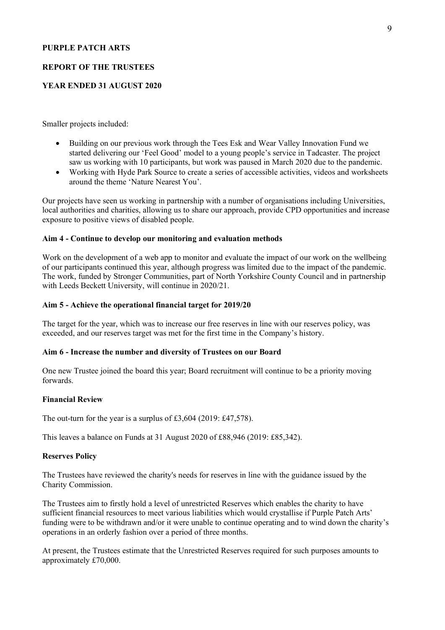#### **REPORT OF THE TRUSTEES**

#### **YEAR ENDED 31 AUGUST 2020**

Smaller projects included:

- Building on our previous work through the Tees Esk and Wear Valley Innovation Fund we started delivering our 'Feel Good' model to a young people's service in Tadcaster. The project saw us working with 10 participants, but work was paused in March 2020 due to the pandemic.
- Working with Hyde Park Source to create a series of accessible activities, videos and worksheets around the theme 'Nature Nearest You'.

Our projects have seen us working in partnership with a number of organisations including Universities, local authorities and charities, allowing us to share our approach, provide CPD opportunities and increase exposure to positive views of disabled people.

#### **Aim 4 - Continue to develop our monitoring and evaluation methods**

Work on the development of a web app to monitor and evaluate the impact of our work on the wellbeing of our participants continued this year, although progress was limited due to the impact of the pandemic. The work, funded by Stronger Communities, part of North Yorkshire County Council and in partnership with Leeds Beckett University, will continue in 2020/21.

#### **Aim 5 - Achieve the operational financial target for 2019/20**

The target for the year, which was to increase our free reserves in line with our reserves policy, was exceeded, and our reserves target was met for the first time in the Company's history.

#### **Aim 6 - Increase the number and diversity of Trustees on our Board**

One new Trustee joined the board this year; Board recruitment will continue to be a priority moving forwards.

#### **Financial Review**

The out-turn for the year is a surplus of £3,604 (2019: £47,578).

This leaves a balance on Funds at 31 August 2020 of £88,946 (2019: £85,342).

#### **Reserves Policy**

The Trustees have reviewed the charity's needs for reserves in line with the guidance issued by the Charity Commission.

The Trustees aim to firstly hold a level of unrestricted Reserves which enables the charity to have sufficient financial resources to meet various liabilities which would crystallise if Purple Patch Arts' funding were to be withdrawn and/or it were unable to continue operating and to wind down the charity's operations in an orderly fashion over a period of three months.

At present, the Trustees estimate that the Unrestricted Reserves required for such purposes amounts to approximately £70,000.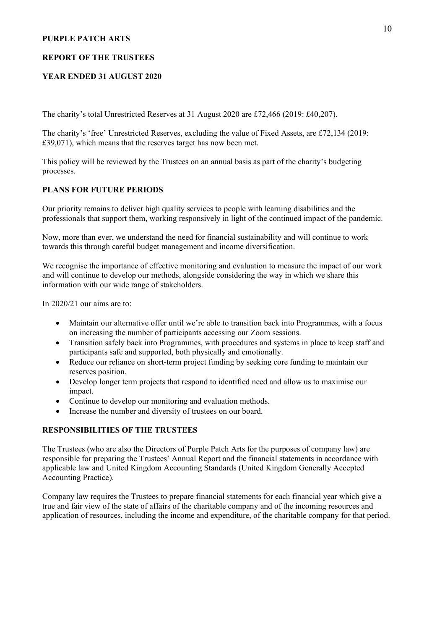#### **REPORT OF THE TRUSTEES**

### **YEAR ENDED 31 AUGUST 2020**

The charity's total Unrestricted Reserves at 31 August 2020 are £72,466 (2019: £40,207).

The charity's 'free' Unrestricted Reserves, excluding the value of Fixed Assets, are £72,134 (2019: £39,071), which means that the reserves target has now been met.

This policy will be reviewed by the Trustees on an annual basis as part of the charity's budgeting processes.

#### **PLANS FOR FUTURE PERIODS**

Our priority remains to deliver high quality services to people with learning disabilities and the professionals that support them, working responsively in light of the continued impact of the pandemic.

Now, more than ever, we understand the need for financial sustainability and will continue to work towards this through careful budget management and income diversification.

We recognise the importance of effective monitoring and evaluation to measure the impact of our work and will continue to develop our methods, alongside considering the way in which we share this information with our wide range of stakeholders.

In 2020/21 our aims are to:

- Maintain our alternative offer until we're able to transition back into Programmes, with a focus on increasing the number of participants accessing our Zoom sessions.
- Transition safely back into Programmes, with procedures and systems in place to keep staff and participants safe and supported, both physically and emotionally.
- Reduce our reliance on short-term project funding by seeking core funding to maintain our reserves position.
- Develop longer term projects that respond to identified need and allow us to maximise our impact.
- Continue to develop our monitoring and evaluation methods.
- Increase the number and diversity of trustees on our board.

## **RESPONSIBILITIES OF THE TRUSTEES**

The Trustees (who are also the Directors of Purple Patch Arts for the purposes of company law) are responsible for preparing the Trustees' Annual Report and the financial statements in accordance with applicable law and United Kingdom Accounting Standards (United Kingdom Generally Accepted Accounting Practice).

Company law requires the Trustees to prepare financial statements for each financial year which give a true and fair view of the state of affairs of the charitable company and of the incoming resources and application of resources, including the income and expenditure, of the charitable company for that period.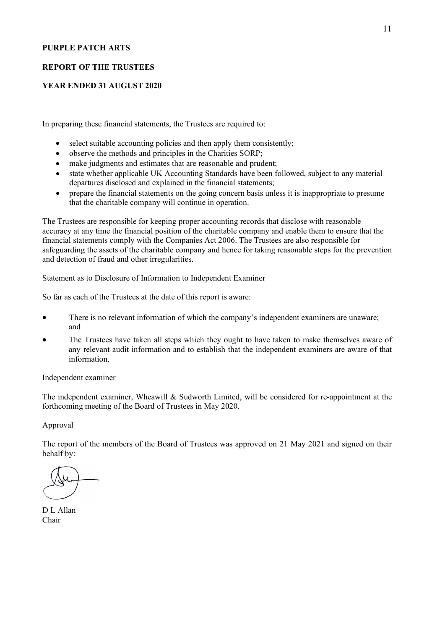#### **REPORT OF THE TRUSTEES**

#### **YEAR ENDED 31 AUGUST 2020**

In preparing these financial statements, the Trustees are required to:

- select suitable accounting policies and then apply them consistently;
- observe the methods and principles in the Charities SORP;
- make judgments and estimates that are reasonable and prudent;
- state whether applicable UK Accounting Standards have been followed, subject to any material departures disclosed and explained in the financial statements;
- prepare the financial statements on the going concern basis unless it is inappropriate to presume that the charitable company will continue in operation.

The Trustees are responsible for keeping proper accounting records that disclose with reasonable accuracy at any time the financial position of the charitable company and enable them to ensure that the financial statements comply with the Companies Act 2006. The Trustees are also responsible for safeguarding the assets of the charitable company and hence for taking reasonable steps for the prevention and detection of fraud and other irregularities.

Statement as to Disclosure of Information to Independent Examiner

So far as each of the Trustees at the date of this report is aware:

- There is no relevant information of which the company's independent examiners are unaware; and
- The Trustees have taken all steps which they ought to have taken to make themselves aware of any relevant audit information and to establish that the independent examiners are aware of that information.

Independent examiner

The independent examiner, Wheawill & Sudworth Limited, will be considered for re-appointment at the forthcoming meeting of the Board of Trustees in May 2020.

Approval

The report of the members of the Board of Trustees was approved on 21 May 2021 and signed on their behalf by:

D L Allan Chair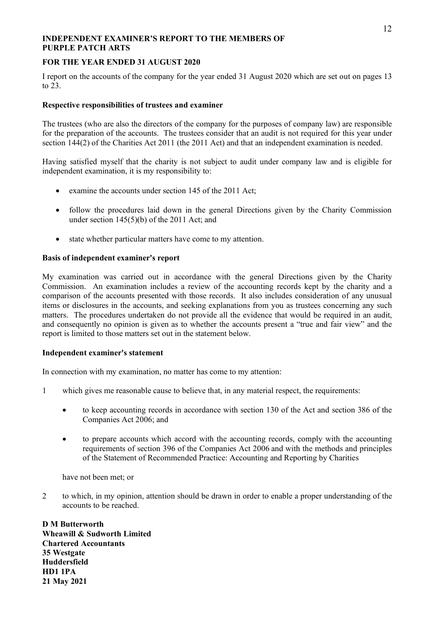#### **INDEPENDENT EXAMINER'S REPORT TO THE MEMBERS OF PURPLE PATCH ARTS**

### **FOR THE YEAR ENDED 31 AUGUST 2020**

I report on the accounts of the company for the year ended 31 August 2020 which are set out on pages 13 to 23.

#### **Respective responsibilities of trustees and examiner**

The trustees (who are also the directors of the company for the purposes of company law) are responsible for the preparation of the accounts. The trustees consider that an audit is not required for this year under section 144(2) of the Charities Act 2011 (the 2011 Act) and that an independent examination is needed.

Having satisfied myself that the charity is not subject to audit under company law and is eligible for independent examination, it is my responsibility to:

- examine the accounts under section 145 of the 2011 Act;
- follow the procedures laid down in the general Directions given by the Charity Commission under section 145(5)(b) of the 2011 Act; and
- state whether particular matters have come to my attention.

#### **Basis of independent examiner's report**

My examination was carried out in accordance with the general Directions given by the Charity Commission. An examination includes a review of the accounting records kept by the charity and a comparison of the accounts presented with those records. It also includes consideration of any unusual items or disclosures in the accounts, and seeking explanations from you as trustees concerning any such matters. The procedures undertaken do not provide all the evidence that would be required in an audit, and consequently no opinion is given as to whether the accounts present a "true and fair view" and the report is limited to those matters set out in the statement below.

#### **Independent examiner's statement**

In connection with my examination, no matter has come to my attention:

- 1 which gives me reasonable cause to believe that, in any material respect, the requirements:
	- to keep accounting records in accordance with section 130 of the Act and section 386 of the Companies Act 2006; and
	- to prepare accounts which accord with the accounting records, comply with the accounting requirements of section 396 of the Companies Act 2006 and with the methods and principles of the Statement of Recommended Practice: Accounting and Reporting by Charities

have not been met; or

2 to which, in my opinion, attention should be drawn in order to enable a proper understanding of the accounts to be reached.

**D M Butterworth Wheawill & Sudworth Limited Chartered Accountants 35 Westgate Huddersfield HD1 1PA 21 May 2021**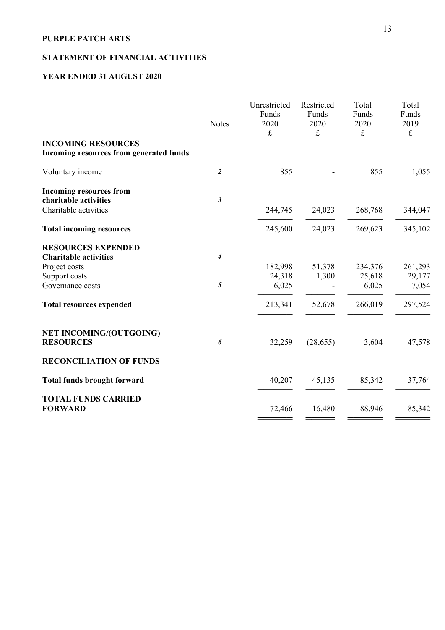## **STATEMENT OF FINANCIAL ACTIVITIES**

## **YEAR ENDED 31 AUGUST 2020**

|                                                                                  | <b>Notes</b>                | Unrestricted<br>Funds<br>2020<br>$\pounds$ | Restricted<br>Funds<br>2020<br>$\pounds$ | Total<br>Funds<br>2020<br>$\pounds$ | Total<br>Funds<br>2019<br>$\pounds$ |
|----------------------------------------------------------------------------------|-----------------------------|--------------------------------------------|------------------------------------------|-------------------------------------|-------------------------------------|
| <b>INCOMING RESOURCES</b><br>Incoming resources from generated funds             |                             |                                            |                                          |                                     |                                     |
| Voluntary income                                                                 | $\overline{2}$              | 855                                        |                                          | 855                                 | 1,055                               |
| <b>Incoming resources from</b><br>charitable activities<br>Charitable activities | $\boldsymbol{\mathfrak{z}}$ | 244,745                                    | 24,023                                   | 268,768                             | 344,047                             |
|                                                                                  |                             | 245,600                                    | 24,023                                   | 269,623                             | 345,102                             |
| <b>Total incoming resources</b>                                                  |                             |                                            |                                          |                                     |                                     |
| <b>RESOURCES EXPENDED</b>                                                        |                             |                                            |                                          |                                     |                                     |
| <b>Charitable activities</b><br>Project costs                                    | $\boldsymbol{4}$            | 182,998                                    | 51,378                                   | 234,376                             | 261,293                             |
| Support costs                                                                    |                             | 24,318                                     | 1,300                                    | 25,618                              | 29,177                              |
| Governance costs                                                                 | $\sqrt{5}$                  | 6,025                                      |                                          | 6,025                               | 7,054                               |
| <b>Total resources expended</b>                                                  |                             | 213,341                                    | 52,678                                   | 266,019                             | 297,524                             |
| <b>NET INCOMING/(OUTGOING)</b><br><b>RESOURCES</b>                               | 6                           | 32,259                                     | (28, 655)                                | 3,604                               | 47,578                              |
| <b>RECONCILIATION OF FUNDS</b>                                                   |                             |                                            |                                          |                                     |                                     |
| <b>Total funds brought forward</b>                                               |                             | 40,207                                     | 45,135                                   | 85,342                              | 37,764                              |
| <b>TOTAL FUNDS CARRIED</b><br><b>FORWARD</b>                                     |                             | 72,466                                     | 16,480                                   | 88,946                              | 85,342                              |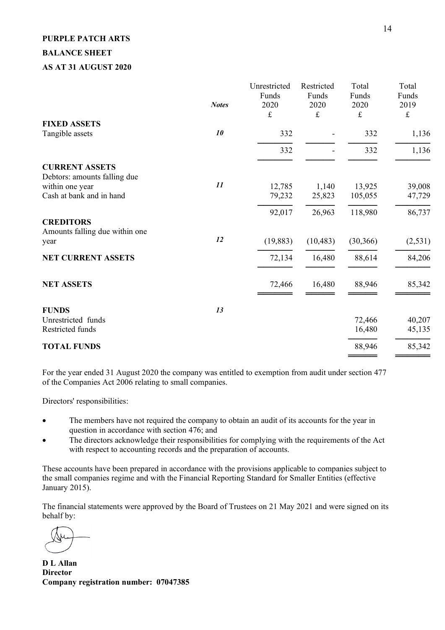## **PURPLE PATCH ARTS BALANCE SHEET AS AT 31 AUGUST 2020**

|                                                            | <b>Notes</b> | Unrestricted<br>Funds<br>2020<br>$\pounds$ | Restricted<br>Funds<br>2020<br>£ | Total<br>Funds<br>2020<br>$\pounds$ | Total<br>Funds<br>2019<br>$\pounds$ |
|------------------------------------------------------------|--------------|--------------------------------------------|----------------------------------|-------------------------------------|-------------------------------------|
| <b>FIXED ASSETS</b>                                        |              |                                            |                                  |                                     |                                     |
| Tangible assets                                            | 10           | 332                                        |                                  | 332                                 | 1,136                               |
|                                                            |              | 332                                        |                                  | 332                                 | 1,136                               |
| <b>CURRENT ASSETS</b><br>Debtors: amounts falling due      |              |                                            |                                  |                                     |                                     |
| within one year                                            | 11           | 12,785                                     | 1,140                            | 13,925                              | 39,008                              |
| Cash at bank and in hand                                   |              | 79,232                                     | 25,823                           | 105,055                             | 47,729                              |
|                                                            |              | 92,017                                     | 26,963                           | 118,980                             | 86,737                              |
| <b>CREDITORS</b><br>Amounts falling due within one<br>year | 12           | (19, 883)                                  | (10, 483)                        | (30, 366)                           | (2, 531)                            |
| <b>NET CURRENT ASSETS</b>                                  |              | 72,134                                     | 16,480                           | 88,614                              | 84,206                              |
| <b>NET ASSETS</b>                                          |              | 72,466                                     | 16,480                           | 88,946                              | 85,342                              |
| <b>FUNDS</b>                                               | 13           |                                            |                                  |                                     |                                     |
| Unrestricted funds                                         |              |                                            |                                  | 72,466                              | 40,207                              |
| Restricted funds                                           |              |                                            |                                  | 16,480                              | 45,135                              |
| <b>TOTAL FUNDS</b>                                         |              |                                            |                                  | 88,946                              | 85,342                              |
|                                                            |              |                                            |                                  |                                     |                                     |

For the year ended 31 August 2020 the company was entitled to exemption from audit under section 477 of the Companies Act 2006 relating to small companies.

Directors' responsibilities:

- The members have not required the company to obtain an audit of its accounts for the year in question in accordance with section 476; and
- The directors acknowledge their responsibilities for complying with the requirements of the Act with respect to accounting records and the preparation of accounts.

These accounts have been prepared in accordance with the provisions applicable to companies subject to the small companies regime and with the Financial Reporting Standard for Smaller Entities (effective January 2015).

The financial statements were approved by the Board of Trustees on 21 May 2021 and were signed on its behalf by:

**D L Allan Director Company registration number: 07047385**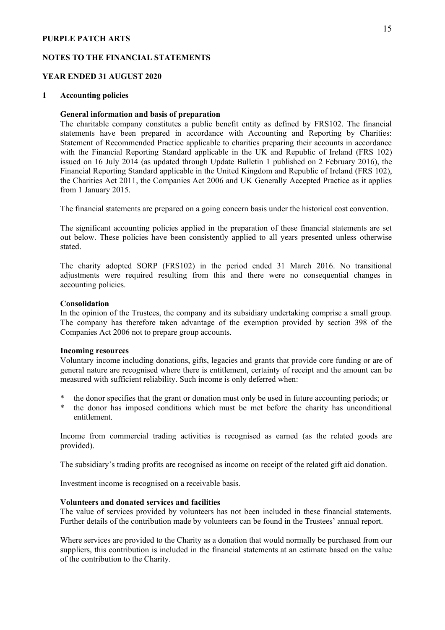#### **NOTES TO THE FINANCIAL STATEMENTS**

#### **YEAR ENDED 31 AUGUST 2020**

#### **1 Accounting policies**

#### **General information and basis of preparation**

The charitable company constitutes a public benefit entity as defined by FRS102. The financial statements have been prepared in accordance with Accounting and Reporting by Charities: Statement of Recommended Practice applicable to charities preparing their accounts in accordance with the Financial Reporting Standard applicable in the UK and Republic of Ireland (FRS 102) issued on 16 July 2014 (as updated through Update Bulletin 1 published on 2 February 2016), the Financial Reporting Standard applicable in the United Kingdom and Republic of Ireland (FRS 102), the Charities Act 2011, the Companies Act 2006 and UK Generally Accepted Practice as it applies from 1 January 2015.

The financial statements are prepared on a going concern basis under the historical cost convention.

The significant accounting policies applied in the preparation of these financial statements are set out below. These policies have been consistently applied to all years presented unless otherwise stated.

The charity adopted SORP (FRS102) in the period ended 31 March 2016. No transitional adjustments were required resulting from this and there were no consequential changes in accounting policies.

#### **Consolidation**

In the opinion of the Trustees, the company and its subsidiary undertaking comprise a small group. The company has therefore taken advantage of the exemption provided by section 398 of the Companies Act 2006 not to prepare group accounts.

#### **Incoming resources**

Voluntary income including donations, gifts, legacies and grants that provide core funding or are of general nature are recognised where there is entitlement, certainty of receipt and the amount can be measured with sufficient reliability. Such income is only deferred when:

- the donor specifies that the grant or donation must only be used in future accounting periods; or
- the donor has imposed conditions which must be met before the charity has unconditional entitlement.

Income from commercial trading activities is recognised as earned (as the related goods are provided).

The subsidiary's trading profits are recognised as income on receipt of the related gift aid donation.

Investment income is recognised on a receivable basis.

#### **Volunteers and donated services and facilities**

The value of services provided by volunteers has not been included in these financial statements. Further details of the contribution made by volunteers can be found in the Trustees' annual report.

Where services are provided to the Charity as a donation that would normally be purchased from our suppliers, this contribution is included in the financial statements at an estimate based on the value of the contribution to the Charity.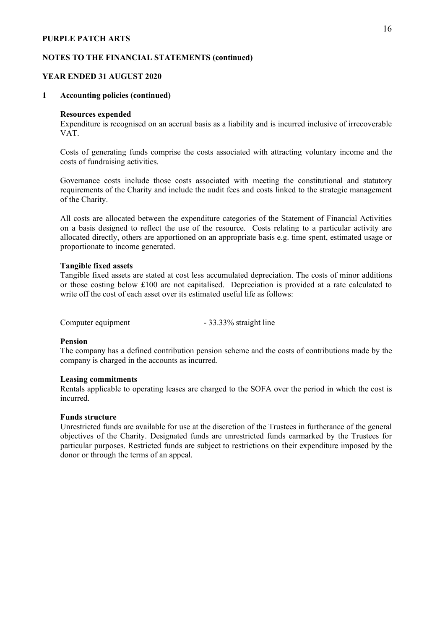#### **NOTES TO THE FINANCIAL STATEMENTS (continued)**

#### **YEAR ENDED 31 AUGUST 2020**

#### **1 Accounting policies (continued)**

#### **Resources expended**

Expenditure is recognised on an accrual basis as a liability and is incurred inclusive of irrecoverable VAT.

Costs of generating funds comprise the costs associated with attracting voluntary income and the costs of fundraising activities.

Governance costs include those costs associated with meeting the constitutional and statutory requirements of the Charity and include the audit fees and costs linked to the strategic management of the Charity.

All costs are allocated between the expenditure categories of the Statement of Financial Activities on a basis designed to reflect the use of the resource. Costs relating to a particular activity are allocated directly, others are apportioned on an appropriate basis e.g. time spent, estimated usage or proportionate to income generated.

#### **Tangible fixed assets**

Tangible fixed assets are stated at cost less accumulated depreciation. The costs of minor additions or those costing below £100 are not capitalised. Depreciation is provided at a rate calculated to write off the cost of each asset over its estimated useful life as follows:

Computer equipment - 33.33% straight line

#### **Pension**

The company has a defined contribution pension scheme and the costs of contributions made by the company is charged in the accounts as incurred.

#### **Leasing commitments**

Rentals applicable to operating leases are charged to the SOFA over the period in which the cost is incurred.

#### **Funds structure**

Unrestricted funds are available for use at the discretion of the Trustees in furtherance of the general objectives of the Charity. Designated funds are unrestricted funds earmarked by the Trustees for particular purposes. Restricted funds are subject to restrictions on their expenditure imposed by the donor or through the terms of an appeal.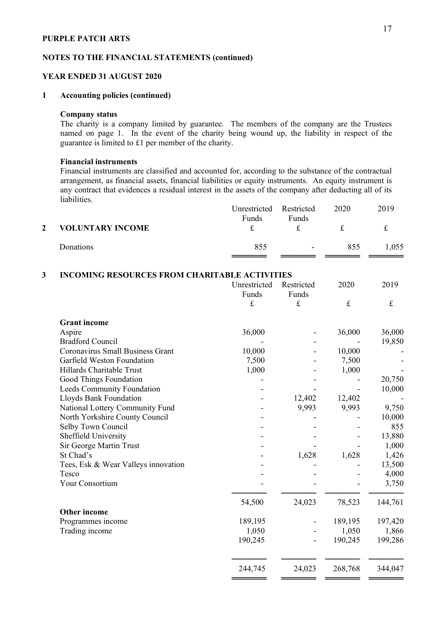#### **NOTES TO THE FINANCIAL STATEMENTS (continued)**

#### **YEAR ENDED 31 AUGUST 2020**

#### **1 Accounting policies (continued)**

#### **Company status**

The charity is a company limited by guarantee. The members of the company are the Trustees named on page 1. In the event of the charity being wound up, the liability in respect of the guarantee is limited to £1 per member of the charity.

#### **Financial instruments**

Financial instruments are classified and accounted for, according to the substance of the contractual arrangement, as financial assets, financial liabilities or equity instruments. An equity instrument is any contract that evidences a residual interest in the assets of the company after deducting all of its liabilities.

|              |                         | Unrestricted Restricted<br><b>Funds</b> | Funds                    | 2020 | 2019  |
|--------------|-------------------------|-----------------------------------------|--------------------------|------|-------|
| $\mathbf{2}$ | <b>VOLUNTARY INCOME</b> |                                         |                          | ÷.   |       |
|              | Donations               | 855                                     | $\overline{\phantom{0}}$ | 855  | 1,055 |

### **3 INCOMING RESOURCES FROM CHARITABLE ACTIVITIES**

|                                     | Unrestricted | Restricted  | 2020      | 2019      |
|-------------------------------------|--------------|-------------|-----------|-----------|
|                                     | Funds        | Funds       |           |           |
|                                     | $\mathbf f$  | $\mathbf f$ | $\pounds$ | $\pounds$ |
| <b>Grant</b> income                 |              |             |           |           |
| Aspire                              | 36,000       |             | 36,000    | 36,000    |
| <b>Bradford Council</b>             |              |             |           | 19,850    |
| Coronavirus Small Business Grant    | 10,000       |             | 10,000    |           |
| Garfield Weston Foundation          | 7,500        |             | 7,500     |           |
| Hillards Charitable Trust           | 1,000        |             | 1,000     |           |
| Good Things Foundation              |              |             |           | 20,750    |
| Leeds Community Foundation          |              |             |           | 10,000    |
| Lloyds Bank Foundation              |              | 12,402      | 12,402    |           |
| National Lottery Community Fund     |              | 9,993       | 9,993     | 9,750     |
| North Yorkshire County Council      |              |             |           | 10,000    |
| Selby Town Council                  |              |             |           | 855       |
| Sheffield University                |              |             |           | 13,880    |
| Sir George Martin Trust             |              |             |           | 1,000     |
| St Chad's                           |              | 1,628       | 1,628     | 1,426     |
| Tees, Esk & Wear Valleys innovation |              |             |           | 13,500    |
| Tesco                               |              |             |           | 4,000     |
| Your Consortium                     |              |             |           | 3,750     |
|                                     | 54,500       | 24,023      | 78,523    | 144,761   |
| <b>Other income</b>                 |              |             |           |           |
| Programmes income                   | 189,195      |             | 189,195   | 197,420   |
| Trading income                      | 1,050        |             | 1,050     | 1,866     |
|                                     | 190,245      |             | 190,245   | 199,286   |
|                                     |              |             |           |           |
|                                     | 244,745      | 24,023      | 268,768   | 344,047   |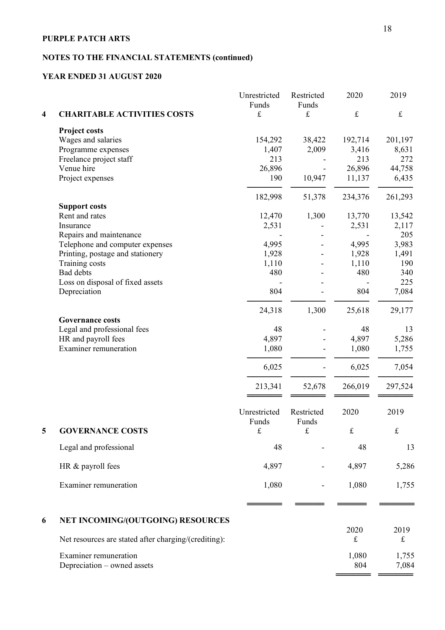## **NOTES TO THE FINANCIAL STATEMENTS (continued)**

## **YEAR ENDED 31 AUGUST 2020**

|                         |                                                             | Unrestricted<br>Funds | Restricted<br>Funds | 2020              | 2019              |
|-------------------------|-------------------------------------------------------------|-----------------------|---------------------|-------------------|-------------------|
| $\overline{\mathbf{4}}$ | <b>CHARITABLE ACTIVITIES COSTS</b>                          | $\pounds$             | $\mathbf f$         | $\pounds$         | $\pounds$         |
|                         | <b>Project costs</b>                                        |                       |                     |                   |                   |
|                         | Wages and salaries                                          | 154,292               | 38,422              | 192,714           | 201,197           |
|                         | Programme expenses                                          | 1,407                 | 2,009               | 3,416             | 8,631             |
|                         | Freelance project staff                                     | 213                   |                     | 213               | 272               |
|                         | Venue hire                                                  | 26,896                |                     | 26,896            | 44,758            |
|                         | Project expenses                                            | 190                   | 10,947              | 11,137            | 6,435             |
|                         |                                                             | 182,998               | 51,378              | 234,376           | 261,293           |
|                         | <b>Support costs</b>                                        |                       |                     |                   |                   |
|                         | Rent and rates                                              | 12,470                | 1,300               | 13,770            | 13,542            |
|                         | Insurance                                                   | 2,531                 |                     | 2,531             | 2,117             |
|                         | Repairs and maintenance                                     |                       |                     |                   | 205               |
|                         | Telephone and computer expenses                             | 4,995                 |                     | 4,995             | 3,983             |
|                         | Printing, postage and stationery                            | 1,928                 |                     | 1,928             | 1,491             |
|                         | Training costs<br><b>Bad</b> debts                          | 1,110<br>480          |                     | 1,110<br>480      | 190<br>340        |
|                         | Loss on disposal of fixed assets                            |                       |                     |                   | 225               |
|                         | Depreciation                                                | 804                   |                     | 804               | 7,084             |
|                         |                                                             | 24,318                | 1,300               | 25,618            | 29,177            |
|                         | <b>Governance costs</b>                                     |                       |                     |                   |                   |
|                         | Legal and professional fees                                 | 48                    |                     | 48                | 13                |
|                         | HR and payroll fees                                         | 4,897                 |                     | 4,897             | 5,286             |
|                         | <b>Examiner</b> remuneration                                | 1,080                 |                     | 1,080             | 1,755             |
|                         |                                                             | 6,025                 |                     | 6,025             | 7,054             |
|                         |                                                             | 213,341               | 52,678              | 266,019           | 297,524           |
|                         |                                                             |                       |                     |                   |                   |
|                         |                                                             | Unrestricted<br>Funds | Restricted<br>Funds | 2020              | 2019              |
| 5                       | <b>GOVERNANCE COSTS</b>                                     | $\pounds$             | $\pounds$           | $\pounds$         | $\pounds$         |
|                         |                                                             |                       |                     |                   |                   |
|                         | Legal and professional                                      | 48                    |                     | 48                | 13                |
|                         | HR & payroll fees                                           | 4,897                 |                     | 4,897             | 5,286             |
|                         | Examiner remuneration                                       | 1,080                 |                     | 1,080             | 1,755             |
|                         |                                                             |                       |                     |                   |                   |
| 6                       | NET INCOMING/(OUTGOING) RESOURCES                           |                       |                     |                   |                   |
|                         | Net resources are stated after charging/(crediting):        |                       |                     | 2020<br>$\pounds$ | 2019<br>$\pounds$ |
|                         |                                                             |                       |                     |                   |                   |
|                         | <b>Examiner</b> remuneration<br>Depreciation – owned assets |                       |                     | 1,080<br>804      | 1,755<br>7,084    |
|                         |                                                             |                       |                     |                   |                   |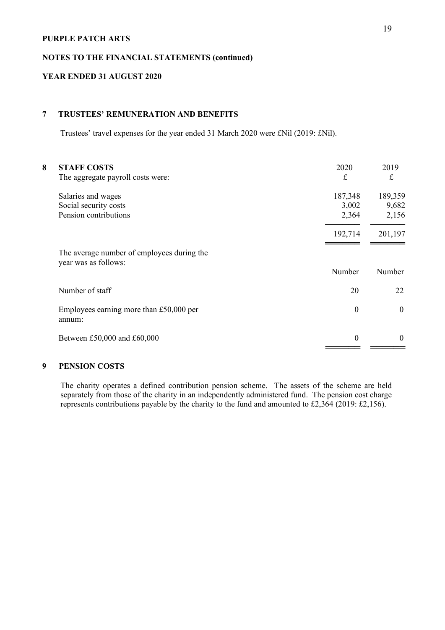#### **NOTES TO THE FINANCIAL STATEMENTS (continued)**

## **YEAR ENDED 31 AUGUST 2020**

## **7 TRUSTEES' REMUNERATION AND BENEFITS**

Trustees' travel expenses for the year ended 31 March 2020 were £Nil (2019: £Nil).

| 8 | <b>STAFF COSTS</b><br>The aggregate payroll costs were:            | 2020<br>£        | 2019<br>£ |
|---|--------------------------------------------------------------------|------------------|-----------|
|   | Salaries and wages                                                 | 187,348          | 189,359   |
|   | Social security costs                                              | 3,002            | 9,682     |
|   | Pension contributions                                              | 2,364            | 2,156     |
|   |                                                                    | 192,714          | 201,197   |
|   | The average number of employees during the<br>year was as follows: |                  |           |
|   |                                                                    | Number           | Number    |
|   | Number of staff                                                    | 20               | 22        |
|   | Employees earning more than £50,000 per<br>annum:                  | $\boldsymbol{0}$ | $\Omega$  |
|   | Between £50,000 and £60,000                                        | $\boldsymbol{0}$ | $\Omega$  |
|   |                                                                    |                  |           |

## **9 PENSION COSTS**

The charity operates a defined contribution pension scheme. The assets of the scheme are held separately from those of the charity in an independently administered fund. The pension cost charge represents contributions payable by the charity to the fund and amounted to £2,364 (2019: £2,156).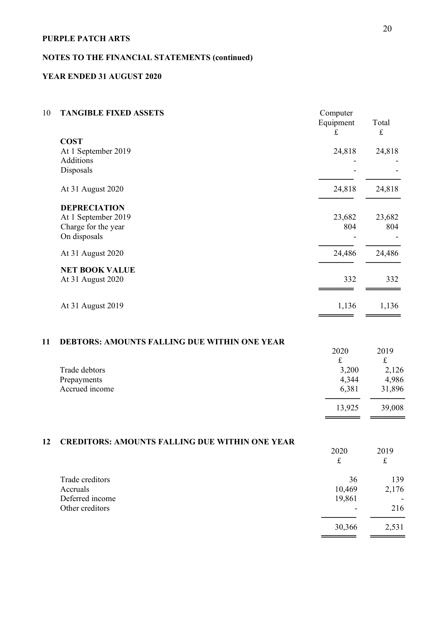## **NOTES TO THE FINANCIAL STATEMENTS (continued)**

### **YEAR ENDED 31 AUGUST 2020**

| 10 | <b>TANGIBLE FIXED ASSETS</b>                                                                          | Computer<br>Equipment<br>$\pounds$           | Total<br>$\pounds$                            |
|----|-------------------------------------------------------------------------------------------------------|----------------------------------------------|-----------------------------------------------|
|    | <b>COST</b><br>At 1 September 2019<br>Additions<br>Disposals                                          | 24,818                                       | 24,818                                        |
|    | At 31 August 2020                                                                                     | 24,818                                       | 24,818                                        |
|    | <b>DEPRECIATION</b><br>At 1 September 2019<br>Charge for the year<br>On disposals                     | 23,682<br>804                                | 23,682<br>804                                 |
|    | At 31 August 2020                                                                                     | 24,486                                       | 24,486                                        |
|    | <b>NET BOOK VALUE</b><br>At 31 August 2020                                                            | 332                                          | 332                                           |
|    | At 31 August 2019                                                                                     | 1,136                                        | 1,136                                         |
| 11 | <b>DEBTORS: AMOUNTS FALLING DUE WITHIN ONE YEAR</b><br>Trade debtors<br>Prepayments<br>Accrued income | 2020<br>$\pounds$<br>3,200<br>4,344<br>6,381 | 2019<br>$\pounds$<br>2,126<br>4,986<br>31,896 |
|    |                                                                                                       | 13,925                                       | 39,008                                        |
| 12 | <b>CREDITORS: AMOUNTS FALLING DUE WITHIN ONE YEAR</b>                                                 | 2020<br>$\pounds$                            | 2019<br>$\pounds$                             |

| Trade creditors<br>Accruals | 36<br>10,469             | 139<br>2,176             |
|-----------------------------|--------------------------|--------------------------|
| Deferred income             | 19,861                   | $\overline{\phantom{0}}$ |
| Other creditors             | $\overline{\phantom{0}}$ | 216                      |
|                             | 30,366                   | 2,531                    |

══════════<br>═════════════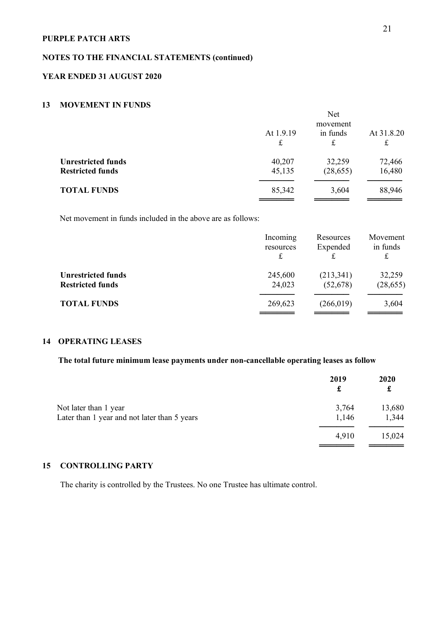## **NOTES TO THE FINANCIAL STATEMENTS (continued)**

### **YEAR ENDED 31 AUGUST 2020**

## **13 MOVEMENT IN FUNDS**

|                                                      | <b>Net</b><br>movement<br>in funds<br>At 1.9.19<br>At 31.8.20<br>£<br>£<br>£ |                     |                  |  |
|------------------------------------------------------|------------------------------------------------------------------------------|---------------------|------------------|--|
| <b>Unrestricted funds</b><br><b>Restricted funds</b> | 40,207<br>45,135                                                             | 32,259<br>(28, 655) | 72,466<br>16,480 |  |
| <b>TOTAL FUNDS</b>                                   | 85,342                                                                       | 3,604               | 88,946           |  |

Net movement in funds included in the above are as follows:

|                                                      | Incoming<br>resources<br>£ | Resources<br>Expended | Movement<br>in funds<br>£ |
|------------------------------------------------------|----------------------------|-----------------------|---------------------------|
| <b>Unrestricted funds</b><br><b>Restricted funds</b> | 245,600<br>24,023          | (213,341)<br>(52,678) | 32,259<br>(28, 655)       |
| <b>TOTAL FUNDS</b>                                   | 269,623                    | (266, 019)            | 3,604                     |

## **14 OPERATING LEASES**

### **The total future minimum lease payments under non-cancellable operating leases as follow**

|                                              | 2019<br>£ | 2020<br>£ |
|----------------------------------------------|-----------|-----------|
| Not later than 1 year                        | 3,764     | 13,680    |
| Later than 1 year and not later than 5 years | 1,146     | 1,344     |
|                                              | 4,910     | 15,024    |
|                                              |           |           |

## **15 CONTROLLING PARTY**

The charity is controlled by the Trustees. No one Trustee has ultimate control.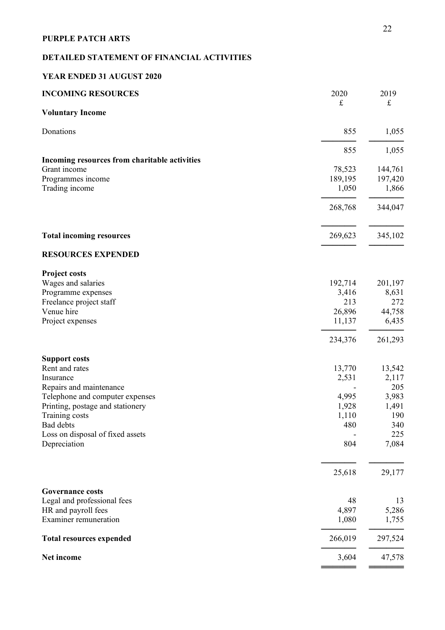## **DETAILED STATEMENT OF FINANCIAL ACTIVITIES**

### **YEAR ENDED 31 AUGUST 2020**

| <b>INCOMING RESOURCES</b>                           | 2020<br>$\pounds$ | 2019<br>$\pounds$ |
|-----------------------------------------------------|-------------------|-------------------|
| <b>Voluntary Income</b>                             |                   |                   |
| Donations                                           | 855               | 1,055             |
|                                                     | 855               | 1,055             |
| Incoming resources from charitable activities       |                   |                   |
| Grant income                                        | 78,523            | 144,761           |
| Programmes income                                   | 189,195           | 197,420           |
| Trading income                                      | 1,050             | 1,866             |
|                                                     | 268,768           | 344,047           |
| <b>Total incoming resources</b>                     | 269,623           | 345,102           |
| <b>RESOURCES EXPENDED</b>                           |                   |                   |
| <b>Project costs</b>                                |                   |                   |
| Wages and salaries                                  | 192,714           | 201,197           |
| Programme expenses                                  | 3,416             | 8,631             |
| Freelance project staff                             | 213               | 272               |
| Venue hire                                          | 26,896            | 44,758            |
| Project expenses                                    | 11,137            | 6,435             |
|                                                     | 234,376           | 261,293           |
| <b>Support costs</b>                                |                   |                   |
| Rent and rates                                      | 13,770            | 13,542            |
| Insurance                                           | 2,531             | 2,117             |
| Repairs and maintenance                             |                   | 205               |
| Telephone and computer expenses                     | 4,995             | 3,983             |
| Printing, postage and stationery                    | 1,928             | 1,491             |
| Training costs                                      | 1,110             | 190               |
| Bad debts                                           | 480               | 340               |
| Loss on disposal of fixed assets<br>Depreciation    | 804               | 225<br>7,084      |
|                                                     |                   |                   |
|                                                     | 25,618            | 29,177            |
| <b>Governance costs</b>                             |                   |                   |
| Legal and professional fees                         | 48                | 13                |
| HR and payroll fees<br><b>Examiner remuneration</b> | 4,897<br>1,080    | 5,286<br>1,755    |
| <b>Total resources expended</b>                     | 266,019           | 297,524           |
| Net income                                          | 3,604             | 47,578            |
|                                                     |                   |                   |